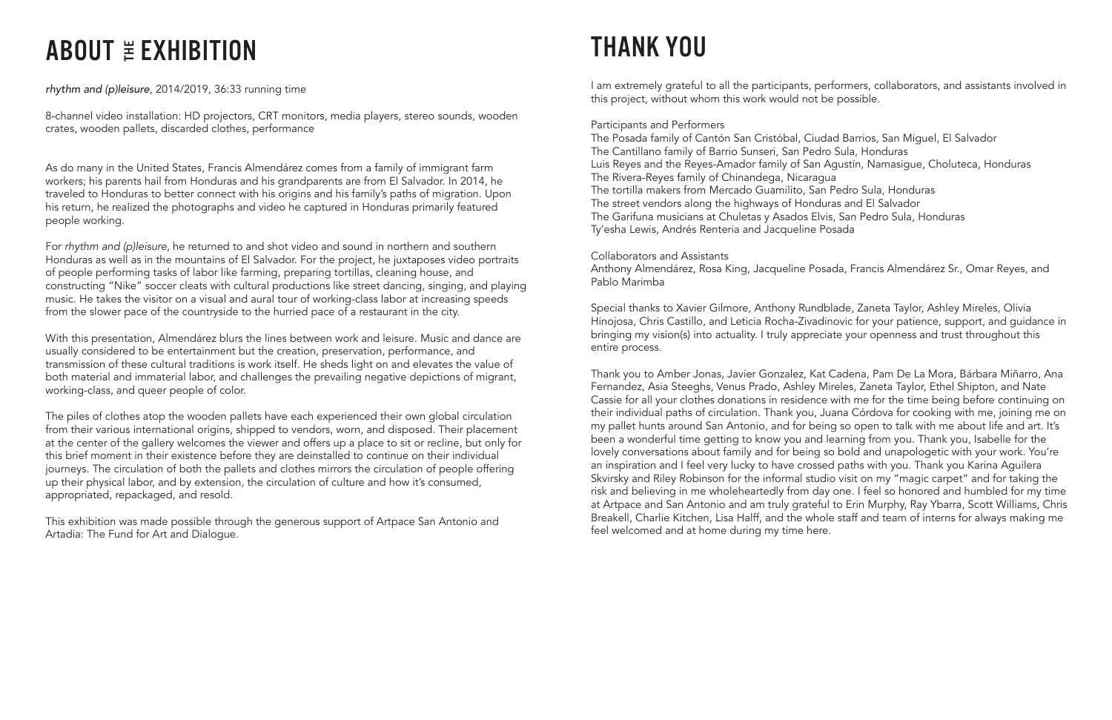# ABOUT  $E$  EXHIBITION

*rhythm and (p)leisure*, 2014/2019, 36:33 running time

8-channel video installation: HD projectors, CRT monitors, media players, stereo sounds, wooden crates, wooden pallets, discarded clothes, performance

As do many in the United States, Francis Almendárez comes from a family of immigrant farm workers; his parents hail from Honduras and his grandparents are from El Salvador. In 2014, he traveled to Honduras to better connect with his origins and his family's paths of migration. Upon his return, he realized the photographs and video he captured in Honduras primarily featured people working.

For *rhythm and (p)leisure*, he returned to and shot video and sound in northern and southern Honduras as well as in the mountains of El Salvador. For the project, he juxtaposes video portraits of people performing tasks of labor like farming, preparing tortillas, cleaning house, and constructing "Nike" soccer cleats with cultural productions like street dancing, singing, and playing music. He takes the visitor on a visual and aural tour of working-class labor at increasing speeds from the slower pace of the countryside to the hurried pace of a restaurant in the city.

With this presentation, Almendárez blurs the lines between work and leisure. Music and dance are usually considered to be entertainment but the creation, preservation, performance, and transmission of these cultural traditions is work itself. He sheds light on and elevates the value of both material and immaterial labor, and challenges the prevailing negative depictions of migrant, working-class, and queer people of color.

The piles of clothes atop the wooden pallets have each experienced their own global circulation from their various international origins, shipped to vendors, worn, and disposed. Their placement at the center of the gallery welcomes the viewer and offers up a place to sit or recline, but only for this brief moment in their existence before they are deinstalled to continue on their individual journeys. The circulation of both the pallets and clothes mirrors the circulation of people offering up their physical labor, and by extension, the circulation of culture and how it's consumed, appropriated, repackaged, and resold.

This exhibition was made possible through the generous support of Artpace San Antonio and Artadia: The Fund for Art and Dialogue.

### THANK YOU

I am extremely grateful to all the participants, performers, collaborators, and assistants involved in this project, without whom this work would not be possible.

### Participants and Performers

The Posada family of Cantón San Cristóbal, Ciudad Barrios, San Miguel, El Salvador The Cantillano family of Barrio Sunseri, San Pedro Sula, Honduras Luis Reyes and the Reyes-Amador family of San Agustín, Namasigue, Choluteca, Honduras The Rivera-Reyes family of Chinandega, Nicaragua The tortilla makers from Mercado Guamilito, San Pedro Sula, Honduras The street vendors along the highways of Honduras and El Salvador The Garifuna musicians at Chuletas y Asados Elvis, San Pedro Sula, Honduras Ty'esha Lewis, Andrés Renteria and Jacqueline Posada

Collaborators and Assistants

Anthony Almendárez, Rosa King, Jacqueline Posada, Francis Almendárez Sr., Omar Reyes, and Pablo Marimba

Special thanks to Xavier Gilmore, Anthony Rundblade, Zaneta Taylor, Ashley Mireles, Olivia Hinojosa, Chris Castillo, and Leticia Rocha-Zivadinovic for your patience, support, and guidance in bringing my vision(s) into actuality. I truly appreciate your openness and trust throughout this entire process.

Thank you to Amber Jonas, Javier Gonzalez, Kat Cadena, Pam De La Mora, Bárbara Miñarro, Ana Fernandez, Asia Steeghs, Venus Prado, Ashley Mireles, Zaneta Taylor, Ethel Shipton, and Nate Cassie for all your clothes donations in residence with me for the time being before continuing on their individual paths of circulation. Thank you, Juana Córdova for cooking with me, joining me on my pallet hunts around San Antonio, and for being so open to talk with me about life and art. It's been a wonderful time getting to know you and learning from you. Thank you, Isabelle for the lovely conversations about family and for being so bold and unapologetic with your work. You're an inspiration and I feel very lucky to have crossed paths with you. Thank you Karina Aguilera Skvirsky and Riley Robinson for the informal studio visit on my "magic carpet" and for taking the risk and believing in me wholeheartedly from day one. I feel so honored and humbled for my time at Artpace and San Antonio and am truly grateful to Erin Murphy, Ray Ybarra, Scott Williams, Chris Breakell, Charlie Kitchen, Lisa Halff, and the whole staff and team of interns for always making me feel welcomed and at home during my time here.